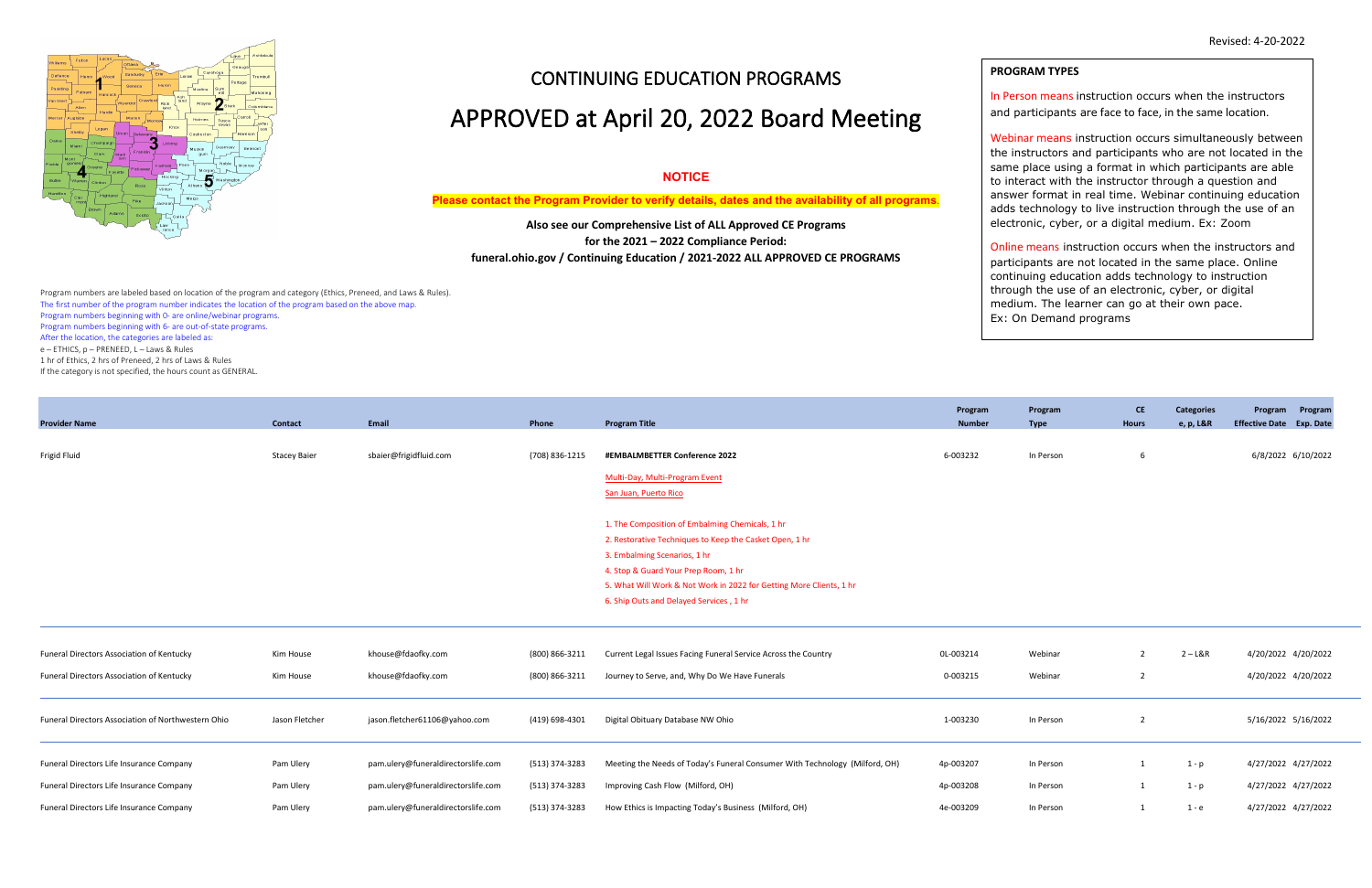

# CONTINUING EDUCATION PROGRAMS

# APPROVED at April 20, 2022 Board Meeting

### **NOTICE**

**Please contact the Program Provider to verify details, dates and the availability of all programs**.

**Also see our Comprehensive List of ALL Approved CE Programs for the 2021 – 2022 Compliance Period: funeral.ohio.gov / Continuing Education / 2021-2022 ALL APPROVED CE PROGRAMS**

Program numbers are labeled based on location of the program and category (Ethics, Preneed, and Laws & Rules). The first number of the program number indicates the location of the program based on the above map. Program numbers beginning with 0- are online/webinar programs. Program numbers beginning with 6- are out-of-state programs. After the location, the categories are labeled as: e – ETHICS, p – PRENEED, L – Laws & Rules 1 hr of Ethics, 2 hrs of Preneed, 2 hrs of Laws & Rules

If the category is not specified, the hours count as GENERAL.

|                                                    |                     |                                    |                |                                                                             | Program       | Program     | <b>CE</b>      | <b>Categories</b> | Program Program                 |
|----------------------------------------------------|---------------------|------------------------------------|----------------|-----------------------------------------------------------------------------|---------------|-------------|----------------|-------------------|---------------------------------|
| <b>Provider Name</b>                               | Contact             | Email                              | Phone          | <b>Program Title</b>                                                        | <b>Number</b> | <b>Type</b> | <b>Hours</b>   | e, p, L&R         | <b>Effective Date</b> Exp. Date |
|                                                    |                     |                                    |                |                                                                             |               |             |                |                   |                                 |
| Frigid Fluid                                       | <b>Stacey Baier</b> | sbaier@frigidfluid.com             | (708) 836-1215 | #EMBALMBETTER Conference 2022                                               | 6-003232      | In Person   | 6              |                   | 6/8/2022 6/10/2022              |
|                                                    |                     |                                    |                | Multi-Day, Multi-Program Event                                              |               |             |                |                   |                                 |
|                                                    |                     |                                    |                | San Juan, Puerto Rico                                                       |               |             |                |                   |                                 |
|                                                    |                     |                                    |                |                                                                             |               |             |                |                   |                                 |
|                                                    |                     |                                    |                | 1. The Composition of Embalming Chemicals, 1 hr                             |               |             |                |                   |                                 |
|                                                    |                     |                                    |                | 2. Restorative Techniques to Keep the Casket Open, 1 hr                     |               |             |                |                   |                                 |
|                                                    |                     |                                    |                | 3. Embalming Scenarios, 1 hr                                                |               |             |                |                   |                                 |
|                                                    |                     |                                    |                | 4. Stop & Guard Your Prep Room, 1 hr                                        |               |             |                |                   |                                 |
|                                                    |                     |                                    |                | 5. What Will Work & Not Work in 2022 for Getting More Clients, 1 hr         |               |             |                |                   |                                 |
|                                                    |                     |                                    |                | 6. Ship Outs and Delayed Services, 1 hr                                     |               |             |                |                   |                                 |
|                                                    |                     |                                    |                |                                                                             |               |             |                |                   |                                 |
|                                                    |                     |                                    |                |                                                                             |               |             |                |                   |                                 |
| <b>Funeral Directors Association of Kentucky</b>   | Kim House           | khouse@fdaofky.com                 | (800) 866-3211 | Current Legal Issues Facing Funeral Service Across the Country              | OL-003214     | Webinar     | $\overline{2}$ | 2 – L&R           | 4/20/2022 4/20/2022             |
| Funeral Directors Association of Kentucky          | Kim House           | khouse@fdaofky.com                 | (800) 866-3211 | Journey to Serve, and, Why Do We Have Funerals                              | 0-003215      | Webinar     | $\overline{2}$ |                   | 4/20/2022 4/20/2022             |
|                                                    |                     |                                    |                |                                                                             |               |             |                |                   |                                 |
|                                                    |                     |                                    |                |                                                                             |               |             |                |                   |                                 |
| Funeral Directors Association of Northwestern Ohio | Jason Fletcher      | jason.fletcher61106@yahoo.com      | (419) 698-4301 | Digital Obituary Database NW Ohio                                           | 1-003230      | In Person   | $\overline{2}$ |                   | 5/16/2022 5/16/2022             |
|                                                    |                     |                                    |                |                                                                             |               |             |                |                   |                                 |
| Funeral Directors Life Insurance Company           | Pam Ulery           | pam.ulery@funeraldirectorslife.com | (513) 374-3283 | Meeting the Needs of Today's Funeral Consumer With Technology (Milford, OH) | 4p-003207     | In Person   | 1              |                   | 4/27/2022 4/27/2022             |
|                                                    |                     |                                    |                |                                                                             |               |             |                | 1 - p             |                                 |
| Funeral Directors Life Insurance Company           | Pam Ulery           | pam.ulery@funeraldirectorslife.com | (513) 374-3283 | Improving Cash Flow (Milford, OH)                                           | 4p-003208     | In Person   | 1              | 1 - p             | 4/27/2022 4/27/2022             |
| Funeral Directors Life Insurance Company           | Pam Ulery           | pam.ulery@funeraldirectorslife.com | (513) 374-3283 | How Ethics is Impacting Today's Business (Milford, OH)                      | 4e-003209     | In Person   | $\mathbf{1}$   | 1 - e             | 4/27/2022 4/27/2022             |
|                                                    |                     |                                    |                |                                                                             |               |             |                |                   |                                 |

### **PROGRAM TYPES**

In Person means instruction occurs when the instructors and participants are face to face, in the same location.

Webinar means instruction occurs simultaneously between the instructors and participants who are not located in the same place using a format in which participants are able to interact with the instructor through a question and answer format in real time. Webinar continuing education adds technology to live instruction through the use of an electronic, cyber, or a digital medium. Ex: Zoom

Online means instruction occurs when the instructors and participants are not located in the same place. Online continuing education adds technology to instruction through the use of an electronic, cyber, or digital medium. The learner can go at their own pace. Ex: On Demand programs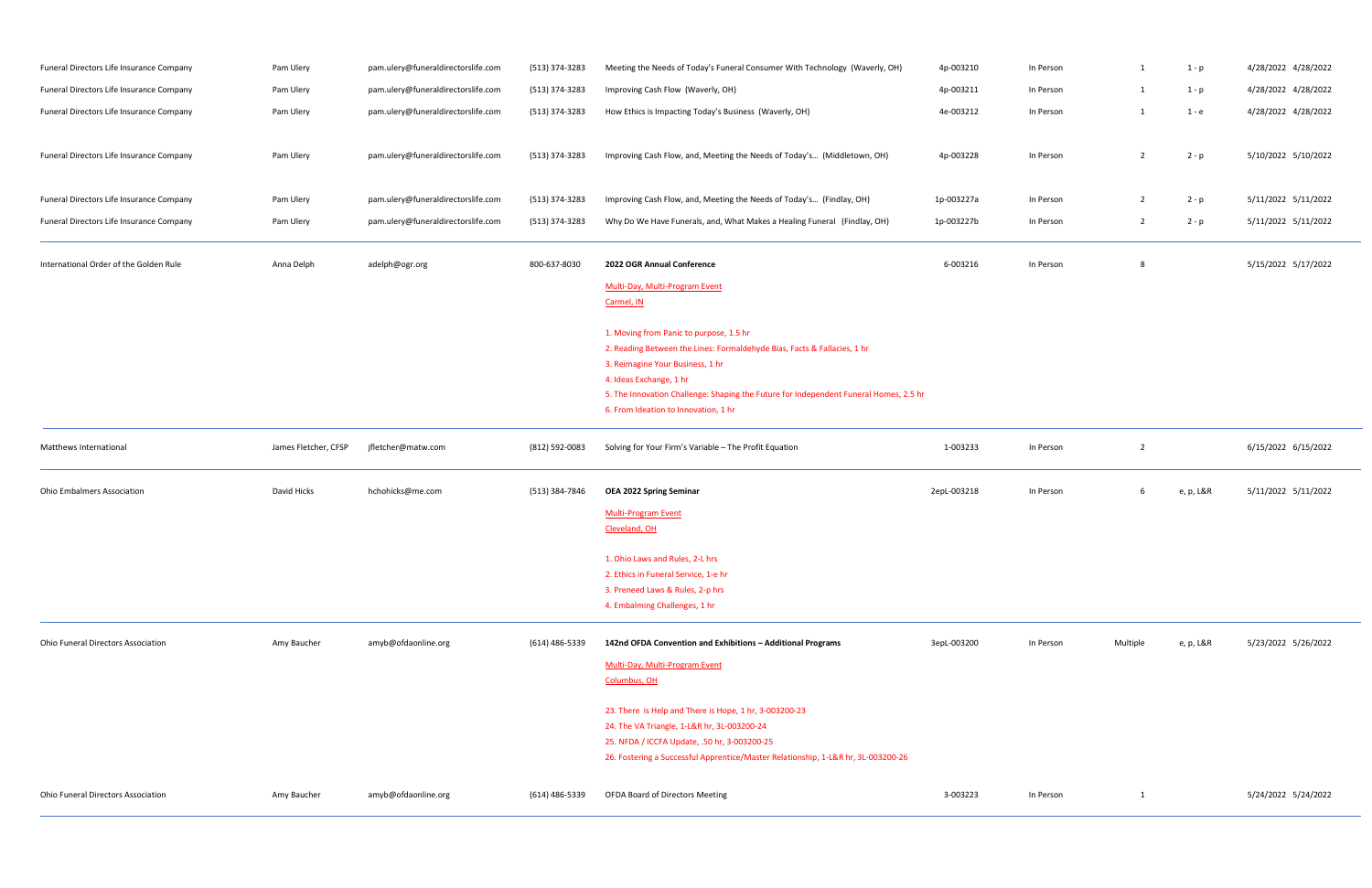| Funeral Directors Life Insurance Company  | Pam Ulery            | pam.ulery@funeraldirectorslife.com | (513) 374-3283 | Meeting the Needs of Today's Funeral Consumer With Technology (Waverly, OH)                                                                                                                                                                                                                                         | 4p-003210   | In Person | 1              | 1 - p     | 4/28/2022 4/28/2022 |
|-------------------------------------------|----------------------|------------------------------------|----------------|---------------------------------------------------------------------------------------------------------------------------------------------------------------------------------------------------------------------------------------------------------------------------------------------------------------------|-------------|-----------|----------------|-----------|---------------------|
| Funeral Directors Life Insurance Company  | Pam Ulery            | pam.ulery@funeraldirectorslife.com | (513) 374-3283 | Improving Cash Flow (Waverly, OH)                                                                                                                                                                                                                                                                                   | 4p-003211   | In Person | 1              | 1 - p     | 4/28/2022 4/28/2022 |
| Funeral Directors Life Insurance Company  | Pam Ulery            | pam.ulery@funeraldirectorslife.com | (513) 374-3283 | How Ethics is Impacting Today's Business (Waverly, OH)                                                                                                                                                                                                                                                              | 4e-003212   | In Person | 1              | 1 - e     | 4/28/2022 4/28/2022 |
| Funeral Directors Life Insurance Company  | Pam Ulery            | pam.ulery@funeraldirectorslife.com | (513) 374-3283 | Improving Cash Flow, and, Meeting the Needs of Today's (Middletown, OH)                                                                                                                                                                                                                                             | 4p-003228   | In Person | $\overline{2}$ | $2 - p$   | 5/10/2022 5/10/2022 |
| Funeral Directors Life Insurance Company  | Pam Ulery            | pam.ulery@funeraldirectorslife.com | (513) 374-3283 | Improving Cash Flow, and, Meeting the Needs of Today's (Findlay, OH)                                                                                                                                                                                                                                                | 1p-003227a  | In Person | $\overline{2}$ | 2 - p     | 5/11/2022 5/11/2022 |
| Funeral Directors Life Insurance Company  | Pam Ulery            | pam.ulery@funeraldirectorslife.com | (513) 374-3283 | Why Do We Have Funerals, and, What Makes a Healing Funeral (Findlay, OH)                                                                                                                                                                                                                                            | 1p-003227b  | In Person | $\overline{2}$ | $2 - p$   | 5/11/2022 5/11/2022 |
| International Order of the Golden Rule    | Anna Delph           | adelph@ogr.org                     | 800-637-8030   | 2022 OGR Annual Conference                                                                                                                                                                                                                                                                                          | 6-003216    | In Person | 8              |           | 5/15/2022 5/17/2022 |
|                                           |                      |                                    |                | Multi-Day, Multi-Program Event<br>Carmel, IN                                                                                                                                                                                                                                                                        |             |           |                |           |                     |
|                                           |                      |                                    |                | 1. Moving from Panic to purpose, 1.5 hr<br>2. Reading Between the Lines: Formaldehyde Bias, Facts & Fallacies, 1 hr<br>3. Reimagine Your Business, 1 hr<br>4. Ideas Exchange, 1 hr<br>5. The Innovation Challenge: Shaping the Future for Independent Funeral Homes, 2.5 hr<br>6. From Ideation to Innovation, 1 hr |             |           |                |           |                     |
| Matthews International                    | James Fletcher, CFSP | jfletcher@matw.com                 | (812) 592-0083 | Solving for Your Firm's Variable - The Profit Equation                                                                                                                                                                                                                                                              | 1-003233    | In Person | $\overline{2}$ |           | 6/15/2022 6/15/2022 |
| <b>Ohio Embalmers Association</b>         | David Hicks          | hchohicks@me.com                   | (513) 384-7846 | <b>OEA 2022 Spring Seminar</b><br><b>Multi-Program Event</b><br>Cleveland, OH                                                                                                                                                                                                                                       | 2epL-003218 | In Person | 6              | e, p, L&R | 5/11/2022 5/11/2022 |
|                                           |                      |                                    |                | 1. Ohio Laws and Rules, 2-L hrs<br>2. Ethics in Funeral Service, 1-e hr<br>3. Preneed Laws & Rules, 2-p hrs<br>4. Embalming Challenges, 1 hr                                                                                                                                                                        |             |           |                |           |                     |
| <b>Ohio Funeral Directors Association</b> | Amy Baucher          | amyb@ofdaonline.org                | (614) 486-5339 | 142nd OFDA Convention and Exhibitions - Additional Programs<br><b>Multi-Day, Multi-Program Event</b><br>Columbus, OH                                                                                                                                                                                                | 3epL-003200 | In Person | Multiple       | e, p, L&R | 5/23/2022 5/26/2022 |
|                                           |                      |                                    |                | 23. There is Help and There is Hope, 1 hr, 3-003200-23<br>24. The VA Triangle, 1-L&R hr, 3L-003200-24<br>25. NFDA / ICCFA Update, .50 hr, 3-003200-25<br>26. Fostering a Successful Apprentice/Master Relationship, 1-L&R hr, 3L-003200-26                                                                          |             |           |                |           |                     |
| <b>Ohio Funeral Directors Association</b> | Amy Baucher          | amyb@ofdaonline.org                | (614) 486-5339 | <b>OFDA Board of Directors Meeting</b>                                                                                                                                                                                                                                                                              | 3-003223    | In Person | 1              |           | 5/24/2022 5/24/2022 |

| In Person | $\mathbf{1}$   | $1-p$   | 4/28/2022 4/28/2022 |
|-----------|----------------|---------|---------------------|
| In Person | $\mathbf{1}$   | $1-p$   | 4/28/2022 4/28/2022 |
| In Person | $\mathbf{1}$   | $1 - e$ | 4/28/2022 4/28/2022 |
|           |                |         |                     |
| In Person | $\overline{2}$ | $2 - p$ | 5/10/2022 5/10/2022 |
|           |                |         |                     |
| In Person | $\overline{2}$ | $2 - p$ | 5/11/2022 5/11/2022 |
| In Person | $\overline{2}$ | $2 - p$ | 5/11/2022 5/11/2022 |
|           |                |         |                     |
| In Person | 8              |         | 5/15/2022 5/17/2022 |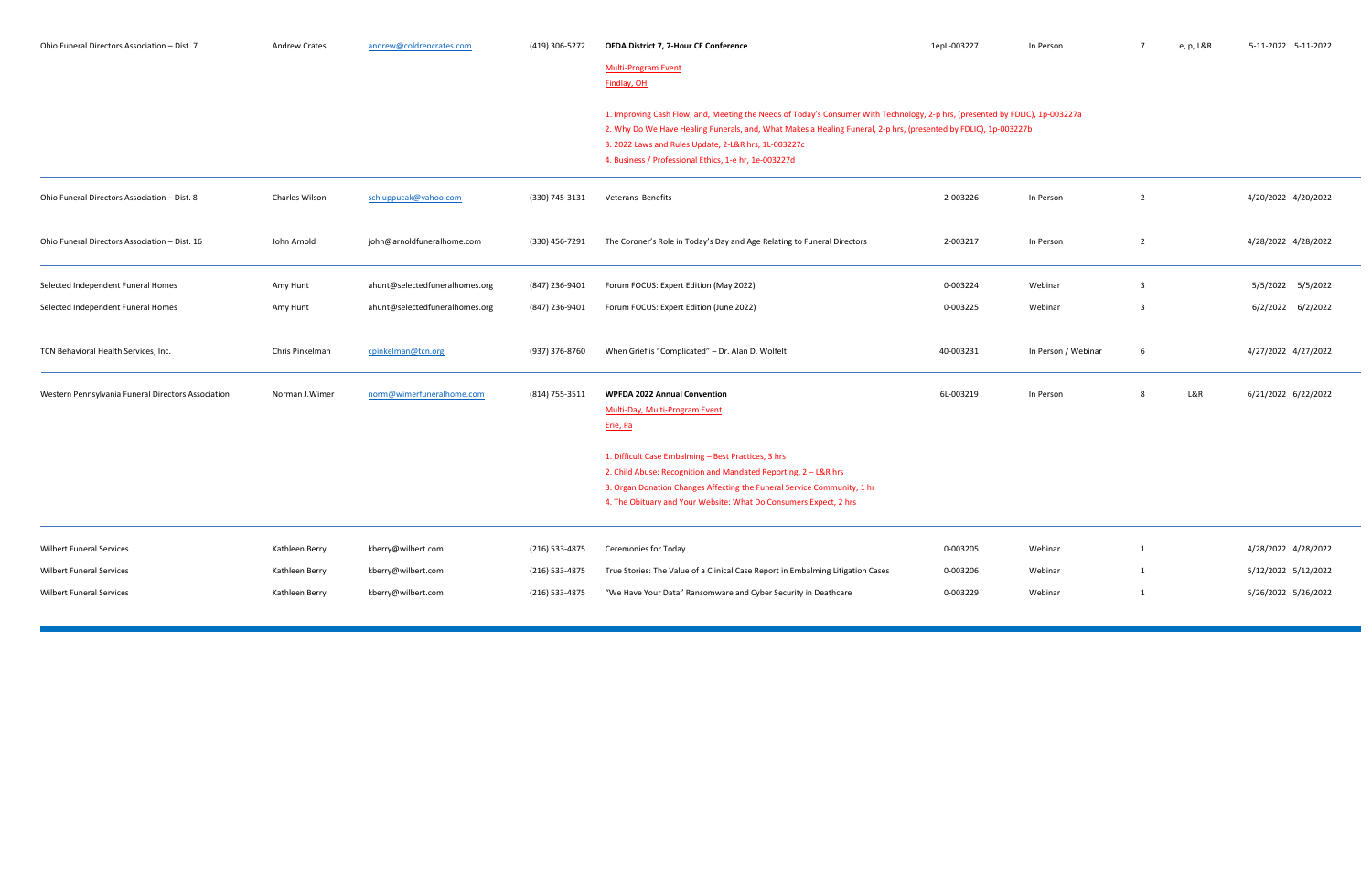| Ohio Funeral Directors Association - Dist. 7       | <b>Andrew Crates</b> | andrew@coldrencrates.com       | (419) 306-5272 | OFDA District 7, 7-Hour CE Conference                                                                                                                                                                                                                                                                                                                              | 1epL-003227 | In Person           | $\overline{7}$ | e, p, L&R | 5-11-2022 5-11-2022 |
|----------------------------------------------------|----------------------|--------------------------------|----------------|--------------------------------------------------------------------------------------------------------------------------------------------------------------------------------------------------------------------------------------------------------------------------------------------------------------------------------------------------------------------|-------------|---------------------|----------------|-----------|---------------------|
|                                                    |                      |                                |                | <b>Multi-Program Event</b><br>Findlay, OH                                                                                                                                                                                                                                                                                                                          |             |                     |                |           |                     |
|                                                    |                      |                                |                | 1. Improving Cash Flow, and, Meeting the Needs of Today's Consumer With Technology, 2-p hrs, (presented by FDLIC), 1p-003227a<br>2. Why Do We Have Healing Funerals, and, What Makes a Healing Funeral, 2-p hrs, (presented by FDLIC), 1p-003227b<br>3. 2022 Laws and Rules Update, 2-L&R hrs, 1L-003227c<br>4. Business / Professional Ethics, 1-e hr, 1e-003227d |             |                     |                |           |                     |
| Ohio Funeral Directors Association - Dist. 8       | Charles Wilson       | schluppucak@yahoo.com          | (330) 745-3131 | Veterans Benefits                                                                                                                                                                                                                                                                                                                                                  | 2-003226    | In Person           | $\overline{2}$ |           | 4/20/2022 4/20/2022 |
| Ohio Funeral Directors Association - Dist. 16      | John Arnold          | john@arnoldfuneralhome.com     | (330) 456-7291 | The Coroner's Role in Today's Day and Age Relating to Funeral Directors                                                                                                                                                                                                                                                                                            | 2-003217    | In Person           | $\overline{2}$ |           | 4/28/2022 4/28/2022 |
| Selected Independent Funeral Homes                 | Amy Hunt             | ahunt@selectedfuneralhomes.org | (847) 236-9401 | Forum FOCUS: Expert Edition (May 2022)                                                                                                                                                                                                                                                                                                                             | 0-003224    | Webinar             | $\overline{3}$ |           | 5/5/2022 5/5/2022   |
| Selected Independent Funeral Homes                 | Amy Hunt             | ahunt@selectedfuneralhomes.org | (847) 236-9401 | Forum FOCUS: Expert Edition (June 2022)                                                                                                                                                                                                                                                                                                                            | 0-003225    | Webinar             | 3              |           | 6/2/2022 6/2/2022   |
| TCN Behavioral Health Services, Inc.               | Chris Pinkelman      | cpinkelman@tcn.org             | (937) 376-8760 | When Grief is "Complicated" - Dr. Alan D. Wolfelt                                                                                                                                                                                                                                                                                                                  | 40-003231   | In Person / Webinar | 6              |           | 4/27/2022 4/27/2022 |
| Western Pennsylvania Funeral Directors Association | Norman J.Wimer       | norm@wimerfuneralhome.com      | (814) 755-3511 | <b>WPFDA 2022 Annual Convention</b><br>Multi-Day, Multi-Program Event<br>Erie, Pa                                                                                                                                                                                                                                                                                  | 6L-003219   | In Person           |                | L&R       | 6/21/2022 6/22/2022 |
|                                                    |                      |                                |                | 1. Difficult Case Embalming - Best Practices, 3 hrs<br>2. Child Abuse: Recognition and Mandated Reporting, 2 - L&R hrs<br>3. Organ Donation Changes Affecting the Funeral Service Community, 1 hr<br>4. The Obituary and Your Website: What Do Consumers Expect, 2 hrs                                                                                             |             |                     |                |           |                     |
| <b>Wilbert Funeral Services</b>                    | Kathleen Berry       | kberry@wilbert.com             | (216) 533-4875 | Ceremonies for Today                                                                                                                                                                                                                                                                                                                                               | 0-003205    | Webinar             | 1              |           | 4/28/2022 4/28/2022 |
| <b>Wilbert Funeral Services</b>                    | Kathleen Berry       | kberry@wilbert.com             | (216) 533-4875 | True Stories: The Value of a Clinical Case Report in Embalming Litigation Cases                                                                                                                                                                                                                                                                                    | 0-003206    | Webinar             | 1              |           | 5/12/2022 5/12/2022 |
| <b>Wilbert Funeral Services</b>                    | Kathleen Berry       | kberry@wilbert.com             | (216) 533-4875 | "We Have Your Data" Ransomware and Cyber Security in Deathcare                                                                                                                                                                                                                                                                                                     | 0-003229    | Webinar             | 1              |           | 5/26/2022 5/26/2022 |